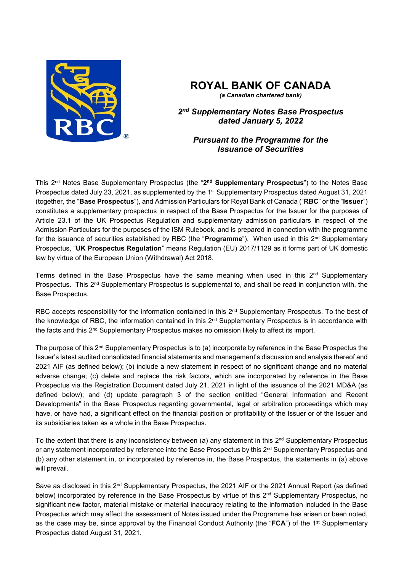

# **ROYAL BANK OF CANADA**

*(a Canadian chartered bank)*

*2nd Supplementary Notes Base Prospectus dated January 5, 2022* 

## *Pursuant to the Programme for the Issuance of Securities*

This 2nd Notes Base Supplementary Prospectus (the "**2nd Supplementary Prospectus**") to the Notes Base Prospectus dated July 23, 2021, as supplemented by the 1st Supplementary Prospectus dated August 31, 2021 (together, the "**Base Prospectus**"), and Admission Particulars for Royal Bank of Canada ("**RBC**" or the "**Issuer**") constitutes a supplementary prospectus in respect of the Base Prospectus for the Issuer for the purposes of Article 23.1 of the UK Prospectus Regulation and supplementary admission particulars in respect of the Admission Particulars for the purposes of the ISM Rulebook, and is prepared in connection with the programme for the issuance of securities established by RBC (the "**Programme**"). When used in this 2nd Supplementary Prospectus, "**UK Prospectus Regulation**" means Regulation (EU) 2017/1129 as it forms part of UK domestic law by virtue of the European Union (Withdrawal) Act 2018.

Terms defined in the Base Prospectus have the same meaning when used in this 2<sup>nd</sup> Supplementary Prospectus. This 2<sup>nd</sup> Supplementary Prospectus is supplemental to, and shall be read in conjunction with, the Base Prospectus.

RBC accepts responsibility for the information contained in this 2<sup>nd</sup> Supplementary Prospectus. To the best of the knowledge of RBC, the information contained in this 2<sup>nd</sup> Supplementary Prospectus is in accordance with the facts and this 2<sup>nd</sup> Supplementary Prospectus makes no omission likely to affect its import.

The purpose of this 2<sup>nd</sup> Supplementary Prospectus is to (a) incorporate by reference in the Base Prospectus the Issuer's latest audited consolidated financial statements and management's discussion and analysis thereof and 2021 AIF (as defined below); (b) include a new statement in respect of no significant change and no material adverse change; (c) delete and replace the risk factors, which are incorporated by reference in the Base Prospectus via the Registration Document dated July 21, 2021 in light of the issuance of the 2021 MD&A (as defined below); and (d) update paragraph 3 of the section entitled "General Information and Recent Developments" in the Base Prospectus regarding governmental, legal or arbitration proceedings which may have, or have had, a significant effect on the financial position or profitability of the Issuer or of the Issuer and its subsidiaries taken as a whole in the Base Prospectus.

To the extent that there is any inconsistency between (a) any statement in this  $2^{nd}$  Supplementary Prospectus or any statement incorporated by reference into the Base Prospectus by this 2<sup>nd</sup> Supplementary Prospectus and (b) any other statement in, or incorporated by reference in, the Base Prospectus, the statements in (a) above will prevail.

Save as disclosed in this 2<sup>nd</sup> Supplementary Prospectus, the 2021 AIF or the 2021 Annual Report (as defined below) incorporated by reference in the Base Prospectus by virtue of this 2<sup>nd</sup> Supplementary Prospectus, no significant new factor, material mistake or material inaccuracy relating to the information included in the Base Prospectus which may affect the assessment of Notes issued under the Programme has arisen or been noted, as the case may be, since approval by the Financial Conduct Authority (the "**FCA**") of the 1st Supplementary Prospectus dated August 31, 2021.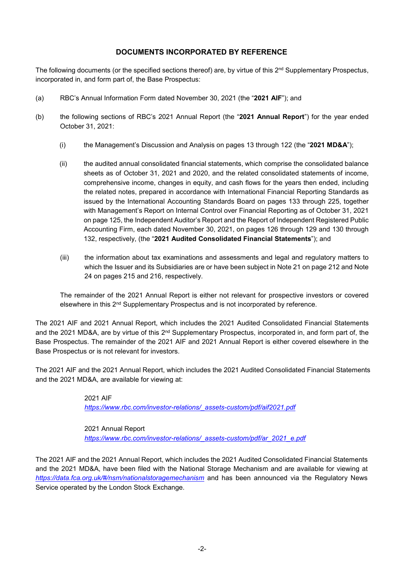### **DOCUMENTS INCORPORATED BY REFERENCE**

The following documents (or the specified sections thereof) are, by virtue of this 2<sup>nd</sup> Supplementary Prospectus, incorporated in, and form part of, the Base Prospectus:

- (a) RBC's Annual Information Form dated November 30, 2021 (the "**2021 AIF**"); and
- (b) the following sections of RBC's 2021 Annual Report (the "**2021 Annual Report**") for the year ended October 31, 2021:
	- (i) the Management's Discussion and Analysis on pages 13 through 122 (the "**2021 MD&A**");
	- (ii) the audited annual consolidated financial statements, which comprise the consolidated balance sheets as of October 31, 2021 and 2020, and the related consolidated statements of income, comprehensive income, changes in equity, and cash flows for the years then ended, including the related notes, prepared in accordance with International Financial Reporting Standards as issued by the International Accounting Standards Board on pages 133 through 225, together with Management's Report on Internal Control over Financial Reporting as of October 31, 2021 on page 125, the Independent Auditor's Report and the Report of Independent Registered Public Accounting Firm, each dated November 30, 2021, on pages 126 through 129 and 130 through 132, respectively, (the "**2021 Audited Consolidated Financial Statements**"); and
	- (iii) the information about tax examinations and assessments and legal and regulatory matters to which the Issuer and its Subsidiaries are or have been subject in Note 21 on page 212 and Note 24 on pages 215 and 216, respectively.

The remainder of the 2021 Annual Report is either not relevant for prospective investors or covered elsewhere in this 2nd Supplementary Prospectus and is not incorporated by reference.

The 2021 AIF and 2021 Annual Report, which includes the 2021 Audited Consolidated Financial Statements and the 2021 MD&A, are by virtue of this 2<sup>nd</sup> Supplementary Prospectus, incorporated in, and form part of, the Base Prospectus. The remainder of the 2021 AIF and 2021 Annual Report is either covered elsewhere in the Base Prospectus or is not relevant for investors.

The 2021 AIF and the 2021 Annual Report, which includes the 2021 Audited Consolidated Financial Statements and the 2021 MD&A, are available for viewing at:

> 2021 AIF  *https://www.rbc.com/investor-relations/\_assets-custom/pdf/aif2021.pdf*

 2021 Annual Report  *https://www.rbc.com/investor-relations/\_assets-custom/pdf/ar\_2021\_e.pdf* 

The 2021 AIF and the 2021 Annual Report, which includes the 2021 Audited Consolidated Financial Statements and the 2021 MD&A, have been filed with the National Storage Mechanism and are available for viewing at *https://data.fca.org.uk/#/nsm/nationalstoragemechanism* and has been announced via the Regulatory News Service operated by the London Stock Exchange.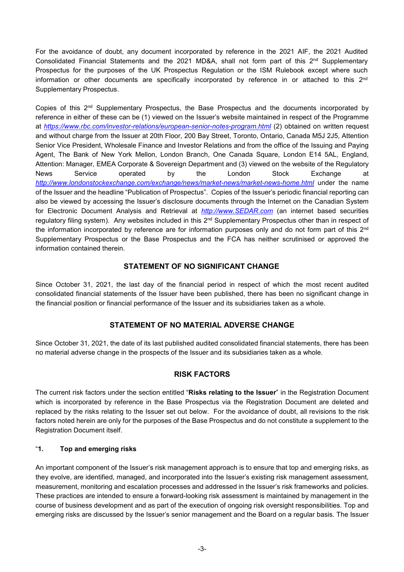For the avoidance of doubt, any document incorporated by reference in the 2021 AIF, the 2021 Audited Consolidated Financial Statements and the 2021 MD&A, shall not form part of this 2<sup>nd</sup> Supplementary Prospectus for the purposes of the UK Prospectus Regulation or the ISM Rulebook except where such information or other documents are specifically incorporated by reference in or attached to this 2<sup>nd</sup> Supplementary Prospectus.

Copies of this 2<sup>nd</sup> Supplementary Prospectus, the Base Prospectus and the documents incorporated by reference in either of these can be (1) viewed on the Issuer's website maintained in respect of the Programme at *https://www.rbc.com/investor-relations/european-senior-notes-program.html* (2) obtained on written request and without charge from the Issuer at 20th Floor, 200 Bay Street, Toronto, Ontario, Canada M5J 2J5, Attention Senior Vice President, Wholesale Finance and Investor Relations and from the office of the Issuing and Paying Agent, The Bank of New York Mellon, London Branch, One Canada Square, London E14 5AL, England, Attention: Manager, EMEA Corporate & Sovereign Department and (3) viewed on the website of the Regulatory News Service operated by the London Stock Exchange at http://www.londonstockexchange.com/exchange/news/market-news/market-news-home.html under the name of the Issuer and the headline "Publication of Prospectus". Copies of the Issuer's periodic financial reporting can also be viewed by accessing the Issuer's disclosure documents through the Internet on the Canadian System for Electronic Document Analysis and Retrieval at *http://www.SEDAR.com* (an internet based securities regulatory filing system). Any websites included in this 2<sup>nd</sup> Supplementary Prospectus other than in respect of the information incorporated by reference are for information purposes only and do not form part of this 2<sup>nd</sup> Supplementary Prospectus or the Base Prospectus and the FCA has neither scrutinised or approved the information contained therein.

#### **STATEMENT OF NO SIGNIFICANT CHANGE**

Since October 31, 2021, the last day of the financial period in respect of which the most recent audited consolidated financial statements of the Issuer have been published, there has been no significant change in the financial position or financial performance of the Issuer and its subsidiaries taken as a whole.

### **STATEMENT OF NO MATERIAL ADVERSE CHANGE**

Since October 31, 2021, the date of its last published audited consolidated financial statements, there has been no material adverse change in the prospects of the Issuer and its subsidiaries taken as a whole.

### **RISK FACTORS**

The current risk factors under the section entitled "**Risks relating to the Issuer**" in the Registration Document which is incorporated by reference in the Base Prospectus via the Registration Document are deleted and replaced by the risks relating to the Issuer set out below. For the avoidance of doubt, all revisions to the risk factors noted herein are only for the purposes of the Base Prospectus and do not constitute a supplement to the Registration Document itself.

#### "**1. Top and emerging risks**

An important component of the Issuer's risk management approach is to ensure that top and emerging risks, as they evolve, are identified, managed, and incorporated into the Issuer's existing risk management assessment, measurement, monitoring and escalation processes and addressed in the Issuer's risk frameworks and policies. These practices are intended to ensure a forward-looking risk assessment is maintained by management in the course of business development and as part of the execution of ongoing risk oversight responsibilities. Top and emerging risks are discussed by the Issuer's senior management and the Board on a regular basis. The Issuer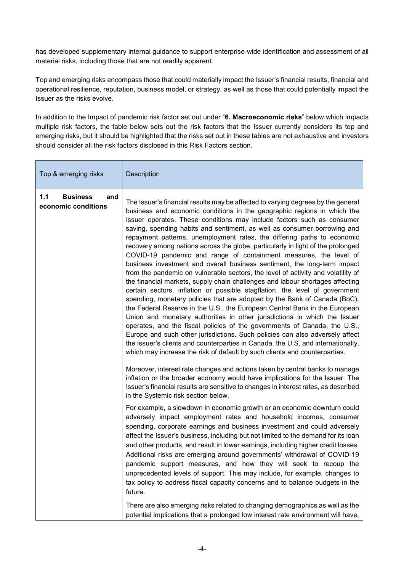has developed supplementary internal guidance to support enterprise-wide identification and assessment of all material risks, including those that are not readily apparent.

Top and emerging risks encompass those that could materially impact the Issuer's financial results, financial and operational resilience, reputation, business model, or strategy, as well as those that could potentially impact the Issuer as the risks evolve.

In addition to the Impact of pandemic risk factor set out under "**6. Macroeconomic risks**" below which impacts multiple risk factors, the table below sets out the risk factors that the Issuer currently considers its top and emerging risks, but it should be highlighted that the risks set out in these tables are not exhaustive and investors should consider all the risk factors disclosed in this Risk Factors section.

| Top & emerging risks                                 | <b>Description</b>                                                                                                                                                                                                                                                                                                                                                                                                                                                                                                                                                                                                                                                                                                                                                                                                                                                                                                                                                                                                                                                                                                                                                                                                                                                                                                                                                                                                                                                                                                                                                                                                          |
|------------------------------------------------------|-----------------------------------------------------------------------------------------------------------------------------------------------------------------------------------------------------------------------------------------------------------------------------------------------------------------------------------------------------------------------------------------------------------------------------------------------------------------------------------------------------------------------------------------------------------------------------------------------------------------------------------------------------------------------------------------------------------------------------------------------------------------------------------------------------------------------------------------------------------------------------------------------------------------------------------------------------------------------------------------------------------------------------------------------------------------------------------------------------------------------------------------------------------------------------------------------------------------------------------------------------------------------------------------------------------------------------------------------------------------------------------------------------------------------------------------------------------------------------------------------------------------------------------------------------------------------------------------------------------------------------|
| <b>Business</b><br>1.1<br>and<br>economic conditions | The Issuer's financial results may be affected to varying degrees by the general<br>business and economic conditions in the geographic regions in which the<br>Issuer operates. These conditions may include factors such as consumer<br>saving, spending habits and sentiment, as well as consumer borrowing and<br>repayment patterns, unemployment rates, the differing paths to economic<br>recovery among nations across the globe, particularly in light of the prolonged<br>COVID-19 pandemic and range of containment measures, the level of<br>business investment and overall business sentiment, the long-term impact<br>from the pandemic on vulnerable sectors, the level of activity and volatility of<br>the financial markets, supply chain challenges and labour shortages affecting<br>certain sectors, inflation or possible stagflation, the level of government<br>spending, monetary policies that are adopted by the Bank of Canada (BoC),<br>the Federal Reserve in the U.S., the European Central Bank in the European<br>Union and monetary authorities in other jurisdictions in which the Issuer<br>operates, and the fiscal policies of the governments of Canada, the U.S.,<br>Europe and such other jurisdictions. Such policies can also adversely affect<br>the Issuer's clients and counterparties in Canada, the U.S. and internationally,<br>which may increase the risk of default by such clients and counterparties.<br>Moreover, interest rate changes and actions taken by central banks to manage<br>inflation or the broader economy would have implications for the Issuer. The |
|                                                      | Issuer's financial results are sensitive to changes in interest rates, as described<br>in the Systemic risk section below.                                                                                                                                                                                                                                                                                                                                                                                                                                                                                                                                                                                                                                                                                                                                                                                                                                                                                                                                                                                                                                                                                                                                                                                                                                                                                                                                                                                                                                                                                                  |
|                                                      | For example, a slowdown in economic growth or an economic downturn could<br>adversely impact employment rates and household incomes, consumer<br>spending, corporate earnings and business investment and could adversely<br>affect the Issuer's business, including but not limited to the demand for its loan<br>and other products, and result in lower earnings, including higher credit losses.<br>Additional risks are emerging around governments' withdrawal of COVID-19<br>pandemic support measures, and how they will seek to recoup the<br>unprecedented levels of support. This may include, for example, changes to<br>tax policy to address fiscal capacity concerns and to balance budgets in the<br>future.                                                                                                                                                                                                                                                                                                                                                                                                                                                                                                                                                                                                                                                                                                                                                                                                                                                                                                |
|                                                      | There are also emerging risks related to changing demographics as well as the<br>potential implications that a prolonged low interest rate environment will have,                                                                                                                                                                                                                                                                                                                                                                                                                                                                                                                                                                                                                                                                                                                                                                                                                                                                                                                                                                                                                                                                                                                                                                                                                                                                                                                                                                                                                                                           |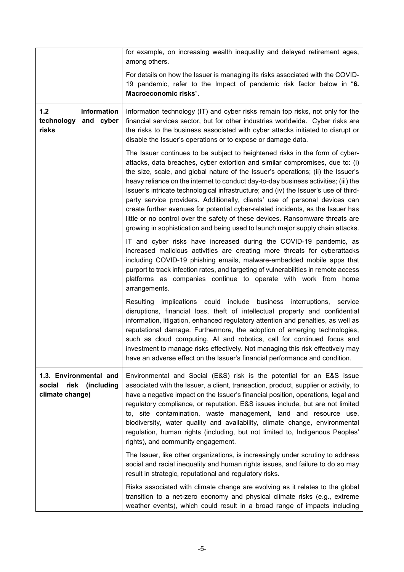|                                                                           | for example, on increasing wealth inequality and delayed retirement ages,<br>among others.                                                                                                                                                                                                                                                                                                                                                                                                                                                                                                                                                                                                                                                                           |
|---------------------------------------------------------------------------|----------------------------------------------------------------------------------------------------------------------------------------------------------------------------------------------------------------------------------------------------------------------------------------------------------------------------------------------------------------------------------------------------------------------------------------------------------------------------------------------------------------------------------------------------------------------------------------------------------------------------------------------------------------------------------------------------------------------------------------------------------------------|
|                                                                           | For details on how the Issuer is managing its risks associated with the COVID-<br>19 pandemic, refer to the Impact of pandemic risk factor below in "6.<br>Macroeconomic risks".                                                                                                                                                                                                                                                                                                                                                                                                                                                                                                                                                                                     |
| 1.2<br>Information<br>technology<br>and cyber<br>risks                    | Information technology (IT) and cyber risks remain top risks, not only for the<br>financial services sector, but for other industries worldwide. Cyber risks are<br>the risks to the business associated with cyber attacks initiated to disrupt or<br>disable the Issuer's operations or to expose or damage data.                                                                                                                                                                                                                                                                                                                                                                                                                                                  |
|                                                                           | The Issuer continues to be subject to heightened risks in the form of cyber-<br>attacks, data breaches, cyber extortion and similar compromises, due to: (i)<br>the size, scale, and global nature of the Issuer's operations; (ii) the Issuer's<br>heavy reliance on the internet to conduct day-to-day business activities; (iii) the<br>Issuer's intricate technological infrastructure; and (iv) the Issuer's use of third-<br>party service providers. Additionally, clients' use of personal devices can<br>create further avenues for potential cyber-related incidents, as the Issuer has<br>little or no control over the safety of these devices. Ransomware threats are<br>growing in sophistication and being used to launch major supply chain attacks. |
|                                                                           | IT and cyber risks have increased during the COVID-19 pandemic, as<br>increased malicious activities are creating more threats for cyberattacks<br>including COVID-19 phishing emails, malware-embedded mobile apps that<br>purport to track infection rates, and targeting of vulnerabilities in remote access<br>platforms as companies continue to operate with work from home<br>arrangements.                                                                                                                                                                                                                                                                                                                                                                   |
|                                                                           | implications could include business interruptions, service<br>Resulting<br>disruptions, financial loss, theft of intellectual property and confidential<br>information, litigation, enhanced regulatory attention and penalties, as well as<br>reputational damage. Furthermore, the adoption of emerging technologies,<br>such as cloud computing, AI and robotics, call for continued focus and<br>investment to manage risks effectively. Not managing this risk effectively may<br>have an adverse effect on the Issuer's financial performance and condition.                                                                                                                                                                                                   |
| 1.3. Environmental and<br>(including<br>risk<br>social<br>climate change) | Environmental and Social (E&S) risk is the potential for an E&S issue<br>associated with the Issuer, a client, transaction, product, supplier or activity, to<br>have a negative impact on the Issuer's financial position, operations, legal and<br>regulatory compliance, or reputation. E&S issues include, but are not limited<br>to, site contamination, waste management, land and resource use,<br>biodiversity, water quality and availability, climate change, environmental<br>regulation, human rights (including, but not limited to, Indigenous Peoples'<br>rights), and community engagement.                                                                                                                                                          |
|                                                                           | The Issuer, like other organizations, is increasingly under scrutiny to address<br>social and racial inequality and human rights issues, and failure to do so may<br>result in strategic, reputational and regulatory risks.                                                                                                                                                                                                                                                                                                                                                                                                                                                                                                                                         |
|                                                                           | Risks associated with climate change are evolving as it relates to the global<br>transition to a net-zero economy and physical climate risks (e.g., extreme<br>weather events), which could result in a broad range of impacts including                                                                                                                                                                                                                                                                                                                                                                                                                                                                                                                             |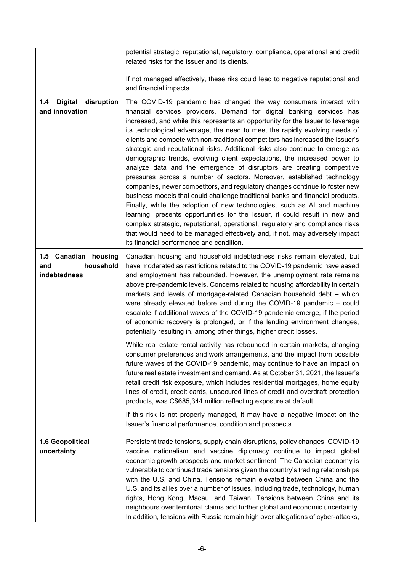|                                                          | potential strategic, reputational, regulatory, compliance, operational and credit<br>related risks for the Issuer and its clients.                                                                                                                                                                                                                                                                                                                                                                                                                                                                                                                                                                                                                                                                                                                                                                                                                                                                                                                                                                                                                                                                                                                    |
|----------------------------------------------------------|-------------------------------------------------------------------------------------------------------------------------------------------------------------------------------------------------------------------------------------------------------------------------------------------------------------------------------------------------------------------------------------------------------------------------------------------------------------------------------------------------------------------------------------------------------------------------------------------------------------------------------------------------------------------------------------------------------------------------------------------------------------------------------------------------------------------------------------------------------------------------------------------------------------------------------------------------------------------------------------------------------------------------------------------------------------------------------------------------------------------------------------------------------------------------------------------------------------------------------------------------------|
|                                                          | If not managed effectively, these riks could lead to negative reputational and<br>and financial impacts.                                                                                                                                                                                                                                                                                                                                                                                                                                                                                                                                                                                                                                                                                                                                                                                                                                                                                                                                                                                                                                                                                                                                              |
| <b>Digital</b><br>disruption<br>1.4<br>and innovation    | The COVID-19 pandemic has changed the way consumers interact with<br>financial services providers. Demand for digital banking services has<br>increased, and while this represents an opportunity for the Issuer to leverage<br>its technological advantage, the need to meet the rapidly evolving needs of<br>clients and compete with non-traditional competitors has increased the Issuer's<br>strategic and reputational risks. Additional risks also continue to emerge as<br>demographic trends, evolving client expectations, the increased power to<br>analyze data and the emergence of disruptors are creating competitive<br>pressures across a number of sectors. Moreover, established technology<br>companies, newer competitors, and regulatory changes continue to foster new<br>business models that could challenge traditional banks and financial products.<br>Finally, while the adoption of new technologies, such as AI and machine<br>learning, presents opportunities for the Issuer, it could result in new and<br>complex strategic, reputational, operational, regulatory and compliance risks<br>that would need to be managed effectively and, if not, may adversely impact<br>its financial performance and condition. |
| 1.5 Canadian housing<br>household<br>and<br>indebtedness | Canadian housing and household indebtedness risks remain elevated, but<br>have moderated as restrictions related to the COVID-19 pandemic have eased<br>and employment has rebounded. However, the unemployment rate remains<br>above pre-pandemic levels. Concerns related to housing affordability in certain<br>markets and levels of mortgage-related Canadian household debt - which<br>were already elevated before and during the COVID-19 pandemic - could<br>escalate if additional waves of the COVID-19 pandemic emerge, if the period<br>of economic recovery is prolonged, or if the lending environment changes,<br>potentially resulting in, among other things, higher credit losses.                                                                                                                                                                                                                                                                                                                                                                                                                                                                                                                                                 |
|                                                          | While real estate rental activity has rebounded in certain markets, changing<br>consumer preferences and work arrangements, and the impact from possible<br>future waves of the COVID-19 pandemic, may continue to have an impact on<br>future real estate investment and demand. As at October 31, 2021, the Issuer's<br>retail credit risk exposure, which includes residential mortgages, home equity<br>lines of credit, credit cards, unsecured lines of credit and overdraft protection<br>products, was C\$685,344 million reflecting exposure at default.<br>If this risk is not properly managed, it may have a negative impact on the<br>Issuer's financial performance, condition and prospects.                                                                                                                                                                                                                                                                                                                                                                                                                                                                                                                                           |
| 1.6 Geopolitical<br>uncertainty                          | Persistent trade tensions, supply chain disruptions, policy changes, COVID-19<br>vaccine nationalism and vaccine diplomacy continue to impact global<br>economic growth prospects and market sentiment. The Canadian economy is<br>vulnerable to continued trade tensions given the country's trading relationships<br>with the U.S. and China. Tensions remain elevated between China and the<br>U.S. and its allies over a number of issues, including trade, technology, human<br>rights, Hong Kong, Macau, and Taiwan. Tensions between China and its<br>neighbours over territorial claims add further global and economic uncertainty.<br>In addition, tensions with Russia remain high over allegations of cyber-attacks,                                                                                                                                                                                                                                                                                                                                                                                                                                                                                                                      |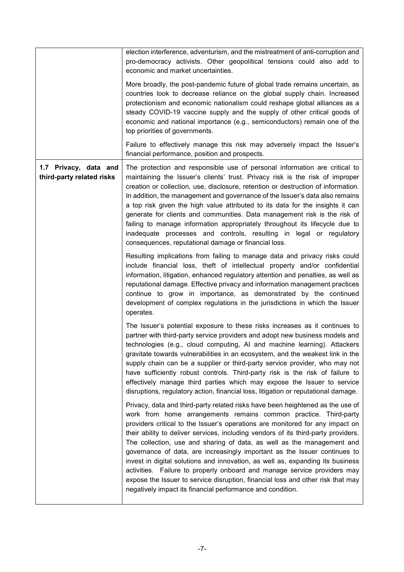|                                                    | election interference, adventurism, and the mistreatment of anti-corruption and<br>pro-democracy activists. Other geopolitical tensions could also add to<br>economic and market uncertainties.                                                                                                                                                                                                                                                                                                                                                                                                                                                                                                                                                                                                 |
|----------------------------------------------------|-------------------------------------------------------------------------------------------------------------------------------------------------------------------------------------------------------------------------------------------------------------------------------------------------------------------------------------------------------------------------------------------------------------------------------------------------------------------------------------------------------------------------------------------------------------------------------------------------------------------------------------------------------------------------------------------------------------------------------------------------------------------------------------------------|
|                                                    | More broadly, the post-pandemic future of global trade remains uncertain, as<br>countries look to decrease reliance on the global supply chain. Increased<br>protectionism and economic nationalism could reshape global alliances as a<br>steady COVID-19 vaccine supply and the supply of other critical goods of<br>economic and national importance (e.g., semiconductors) remain one of the<br>top priorities of governments.                                                                                                                                                                                                                                                                                                                                                              |
|                                                    | Failure to effectively manage this risk may adversely impact the Issuer's<br>financial performance, position and prospects.                                                                                                                                                                                                                                                                                                                                                                                                                                                                                                                                                                                                                                                                     |
| 1.7 Privacy, data and<br>third-party related risks | The protection and responsible use of personal information are critical to<br>maintaining the Issuer's clients' trust. Privacy risk is the risk of improper<br>creation or collection, use, disclosure, retention or destruction of information.<br>In addition, the management and governance of the Issuer's data also remains<br>a top risk given the high value attributed to its data for the insights it can<br>generate for clients and communities. Data management risk is the risk of<br>failing to manage information appropriately throughout its lifecycle due to<br>inadequate processes and controls, resulting in legal or regulatory<br>consequences, reputational damage or financial loss.                                                                                   |
|                                                    | Resulting implications from failing to manage data and privacy risks could<br>include financial loss, theft of intellectual property and/or confidential<br>information, litigation, enhanced regulatory attention and penalties, as well as<br>reputational damage. Effective privacy and information management practices<br>continue to grow in importance, as demonstrated by the continued<br>development of complex regulations in the jurisdictions in which the Issuer<br>operates.                                                                                                                                                                                                                                                                                                     |
|                                                    | The Issuer's potential exposure to these risks increases as it continues to<br>partner with third-party service providers and adopt new business models and<br>technologies (e.g., cloud computing, AI and machine learning). Attackers<br>gravitate towards vulnerabilities in an ecosystem, and the weakest link in the<br>supply chain can be a supplier or third-party service provider, who may not<br>have sufficiently robust controls. Third-party risk is the risk of failure to<br>effectively manage third parties which may expose the Issuer to service<br>disruptions, regulatory action, financial loss, litigation or reputational damage.                                                                                                                                      |
|                                                    | Privacy, data and third-party related risks have been heightened as the use of<br>work from home arrangements remains common practice. Third-party<br>providers critical to the Issuer's operations are monitored for any impact on<br>their ability to deliver services, including vendors of its third-party providers.<br>The collection, use and sharing of data, as well as the management and<br>governance of data, are increasingly important as the Issuer continues to<br>invest in digital solutions and innovation, as well as, expanding its business<br>activities. Failure to properly onboard and manage service providers may<br>expose the Issuer to service disruption, financial loss and other risk that may<br>negatively impact its financial performance and condition. |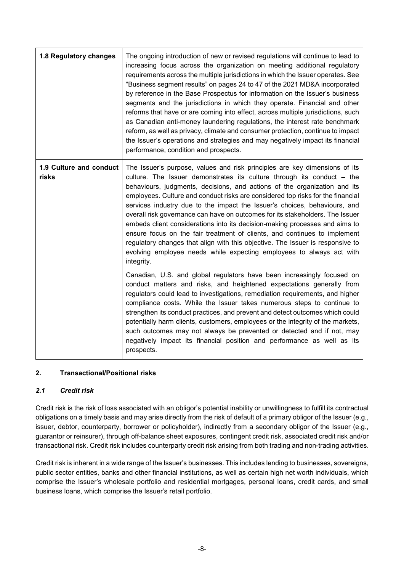| 1.8 Regulatory changes           | The ongoing introduction of new or revised regulations will continue to lead to<br>increasing focus across the organization on meeting additional regulatory<br>requirements across the multiple jurisdictions in which the Issuer operates. See<br>"Business segment results" on pages 24 to 47 of the 2021 MD&A incorporated<br>by reference in the Base Prospectus for information on the Issuer's business<br>segments and the jurisdictions in which they operate. Financial and other<br>reforms that have or are coming into effect, across multiple jurisdictions, such<br>as Canadian anti-money laundering regulations, the interest rate benchmark<br>reform, as well as privacy, climate and consumer protection, continue to impact<br>the Issuer's operations and strategies and may negatively impact its financial<br>performance, condition and prospects. |
|----------------------------------|-----------------------------------------------------------------------------------------------------------------------------------------------------------------------------------------------------------------------------------------------------------------------------------------------------------------------------------------------------------------------------------------------------------------------------------------------------------------------------------------------------------------------------------------------------------------------------------------------------------------------------------------------------------------------------------------------------------------------------------------------------------------------------------------------------------------------------------------------------------------------------|
| 1.9 Culture and conduct<br>risks | The Issuer's purpose, values and risk principles are key dimensions of its<br>culture. The Issuer demonstrates its culture through its conduct - the<br>behaviours, judgments, decisions, and actions of the organization and its<br>employees. Culture and conduct risks are considered top risks for the financial<br>services industry due to the impact the Issuer's choices, behaviours, and<br>overall risk governance can have on outcomes for its stakeholders. The Issuer<br>embeds client considerations into its decision-making processes and aims to<br>ensure focus on the fair treatment of clients, and continues to implement<br>regulatory changes that align with this objective. The Issuer is responsive to<br>evolving employee needs while expecting employees to always act with<br>integrity.                                                      |
|                                  | Canadian, U.S. and global regulators have been increasingly focused on<br>conduct matters and risks, and heightened expectations generally from<br>regulators could lead to investigations, remediation requirements, and higher<br>compliance costs. While the Issuer takes numerous steps to continue to<br>strengthen its conduct practices, and prevent and detect outcomes which could<br>potentially harm clients, customers, employees or the integrity of the markets,<br>such outcomes may not always be prevented or detected and if not, may<br>negatively impact its financial position and performance as well as its<br>prospects.                                                                                                                                                                                                                            |

#### **2. Transactional/Positional risks**

### *2.1 Credit risk*

Credit risk is the risk of loss associated with an obligor's potential inability or unwillingness to fulfill its contractual obligations on a timely basis and may arise directly from the risk of default of a primary obligor of the Issuer (e.g., issuer, debtor, counterparty, borrower or policyholder), indirectly from a secondary obligor of the Issuer (e.g., guarantor or reinsurer), through off-balance sheet exposures, contingent credit risk, associated credit risk and/or transactional risk. Credit risk includes counterparty credit risk arising from both trading and non-trading activities.

Credit risk is inherent in a wide range of the Issuer's businesses. This includes lending to businesses, sovereigns, public sector entities, banks and other financial institutions, as well as certain high net worth individuals, which comprise the Issuer's wholesale portfolio and residential mortgages, personal loans, credit cards, and small business loans, which comprise the Issuer's retail portfolio.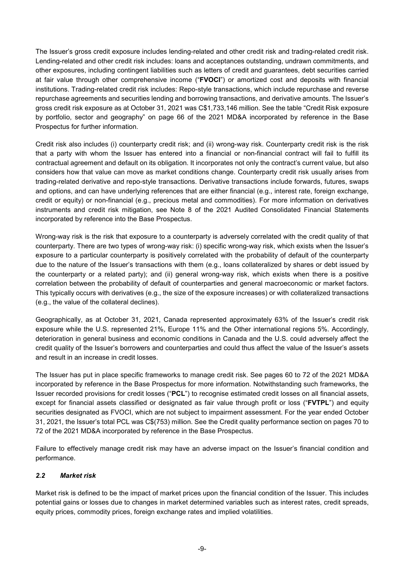The Issuer's gross credit exposure includes lending-related and other credit risk and trading-related credit risk. Lending-related and other credit risk includes: loans and acceptances outstanding, undrawn commitments, and other exposures, including contingent liabilities such as letters of credit and guarantees, debt securities carried at fair value through other comprehensive income ("**FVOCI**") or amortized cost and deposits with financial institutions. Trading-related credit risk includes: Repo-style transactions, which include repurchase and reverse repurchase agreements and securities lending and borrowing transactions, and derivative amounts. The Issuer's gross credit risk exposure as at October 31, 2021 was C\$1,733,146 million. See the table "Credit Risk exposure by portfolio, sector and geography" on page 66 of the 2021 MD&A incorporated by reference in the Base Prospectus for further information.

Credit risk also includes (i) counterparty credit risk; and (ii) wrong-way risk. Counterparty credit risk is the risk that a party with whom the Issuer has entered into a financial or non-financial contract will fail to fulfill its contractual agreement and default on its obligation. It incorporates not only the contract's current value, but also considers how that value can move as market conditions change. Counterparty credit risk usually arises from trading-related derivative and repo-style transactions. Derivative transactions include forwards, futures, swaps and options, and can have underlying references that are either financial (e.g., interest rate, foreign exchange, credit or equity) or non-financial (e.g., precious metal and commodities). For more information on derivatives instruments and credit risk mitigation, see Note 8 of the 2021 Audited Consolidated Financial Statements incorporated by reference into the Base Prospectus.

Wrong-way risk is the risk that exposure to a counterparty is adversely correlated with the credit quality of that counterparty. There are two types of wrong-way risk: (i) specific wrong-way risk, which exists when the Issuer's exposure to a particular counterparty is positively correlated with the probability of default of the counterparty due to the nature of the Issuer's transactions with them (e.g., loans collateralized by shares or debt issued by the counterparty or a related party); and (ii) general wrong-way risk, which exists when there is a positive correlation between the probability of default of counterparties and general macroeconomic or market factors. This typically occurs with derivatives (e.g., the size of the exposure increases) or with collateralized transactions (e.g., the value of the collateral declines).

Geographically, as at October 31, 2021, Canada represented approximately 63% of the Issuer's credit risk exposure while the U.S. represented 21%, Europe 11% and the Other international regions 5%. Accordingly, deterioration in general business and economic conditions in Canada and the U.S. could adversely affect the credit quality of the Issuer's borrowers and counterparties and could thus affect the value of the Issuer's assets and result in an increase in credit losses.

The Issuer has put in place specific frameworks to manage credit risk. See pages 60 to 72 of the 2021 MD&A incorporated by reference in the Base Prospectus for more information. Notwithstanding such frameworks, the Issuer recorded provisions for credit losses ("**PCL**") to recognise estimated credit losses on all financial assets, except for financial assets classified or designated as fair value through profit or loss ("**FVTPL**") and equity securities designated as FVOCI, which are not subject to impairment assessment. For the year ended October 31, 2021, the Issuer's total PCL was C\$(753) million. See the Credit quality performance section on pages 70 to 72 of the 2021 MD&A incorporated by reference in the Base Prospectus.

Failure to effectively manage credit risk may have an adverse impact on the Issuer's financial condition and performance.

### *2.2 Market risk*

Market risk is defined to be the impact of market prices upon the financial condition of the Issuer. This includes potential gains or losses due to changes in market determined variables such as interest rates, credit spreads, equity prices, commodity prices, foreign exchange rates and implied volatilities.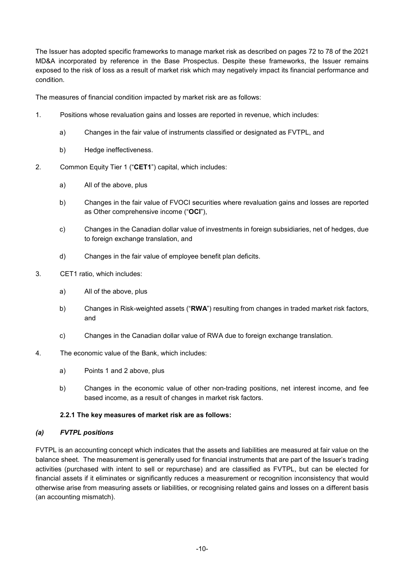The Issuer has adopted specific frameworks to manage market risk as described on pages 72 to 78 of the 2021 MD&A incorporated by reference in the Base Prospectus. Despite these frameworks, the Issuer remains exposed to the risk of loss as a result of market risk which may negatively impact its financial performance and condition.

The measures of financial condition impacted by market risk are as follows:

- 1. Positions whose revaluation gains and losses are reported in revenue, which includes:
	- a) Changes in the fair value of instruments classified or designated as FVTPL, and
	- b) Hedge ineffectiveness.
- 2. Common Equity Tier 1 ("**CET1**") capital, which includes:
	- a) All of the above, plus
	- b) Changes in the fair value of FVOCI securities where revaluation gains and losses are reported as Other comprehensive income ("**OCI**"),
	- c) Changes in the Canadian dollar value of investments in foreign subsidiaries, net of hedges, due to foreign exchange translation, and
	- d) Changes in the fair value of employee benefit plan deficits.
- 3. CET1 ratio, which includes:
	- a) All of the above, plus
	- b) Changes in Risk-weighted assets ("**RWA**") resulting from changes in traded market risk factors, and
	- c) Changes in the Canadian dollar value of RWA due to foreign exchange translation.
- 4. The economic value of the Bank, which includes:
	- a) Points 1 and 2 above, plus
	- b) Changes in the economic value of other non-trading positions, net interest income, and fee based income, as a result of changes in market risk factors.

#### **2.2.1 The key measures of market risk are as follows:**

#### *(a) FVTPL positions*

FVTPL is an accounting concept which indicates that the assets and liabilities are measured at fair value on the balance sheet. The measurement is generally used for financial instruments that are part of the Issuer's trading activities (purchased with intent to sell or repurchase) and are classified as FVTPL, but can be elected for financial assets if it eliminates or significantly reduces a measurement or recognition inconsistency that would otherwise arise from measuring assets or liabilities, or recognising related gains and losses on a different basis (an accounting mismatch).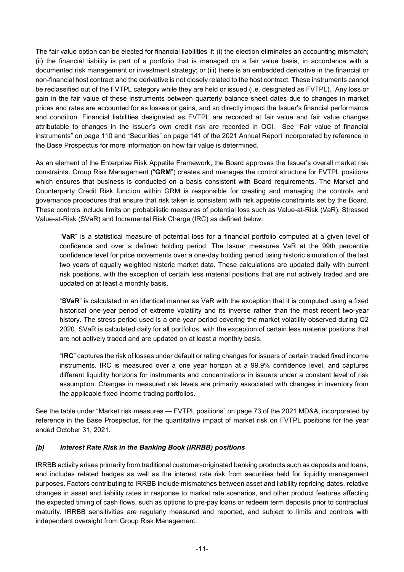The fair value option can be elected for financial liabilities if: (i) the election eliminates an accounting mismatch; (ii) the financial liability is part of a portfolio that is managed on a fair value basis, in accordance with a documented risk management or investment strategy; or (iii) there is an embedded derivative in the financial or non-financial host contract and the derivative is not closely related to the host contract. These instruments cannot be reclassified out of the FVTPL category while they are held or issued (i.e. designated as FVTPL). Any loss or gain in the fair value of these instruments between quarterly balance sheet dates due to changes in market prices and rates are accounted for as losses or gains, and so directly impact the Issuer's financial performance and condition. Financial liabilities designated as FVTPL are recorded at fair value and fair value changes attributable to changes in the Issuer's own credit risk are recorded in OCI. See "Fair value of financial instruments" on page 110 and "Securities" on page 141 of the 2021 Annual Report incorporated by reference in the Base Prospectus for more information on how fair value is determined.

As an element of the Enterprise Risk Appetite Framework, the Board approves the Issuer's overall market risk constraints. Group Risk Management ("**GRM**") creates and manages the control structure for FVTPL positions which ensures that business is conducted on a basis consistent with Board requirements. The Market and Counterparty Credit Risk function within GRM is responsible for creating and managing the controls and governance procedures that ensure that risk taken is consistent with risk appetite constraints set by the Board. These controls include limits on probabilistic measures of potential loss such as Value-at-Risk (VaR), Stressed Value-at-Risk (SVaR) and Incremental Risk Charge (IRC) as defined below:

"**VaR**" is a statistical measure of potential loss for a financial portfolio computed at a given level of confidence and over a defined holding period. The Issuer measures VaR at the 99th percentile confidence level for price movements over a one-day holding period using historic simulation of the last two years of equally weighted historic market data. These calculations are updated daily with current risk positions, with the exception of certain less material positions that are not actively traded and are updated on at least a monthly basis.

"**SVaR**" is calculated in an identical manner as VaR with the exception that it is computed using a fixed historical one-year period of extreme volatility and its inverse rather than the most recent two-year history. The stress period used is a one-year period covering the market volatility observed during Q2 2020. SVaR is calculated daily for all portfolios, with the exception of certain less material positions that are not actively traded and are updated on at least a monthly basis.

"**IRC**" captures the risk of losses under default or rating changes for issuers of certain traded fixed income instruments. IRC is measured over a one year horizon at a 99.9% confidence level, and captures different liquidity horizons for instruments and concentrations in issuers under a constant level of risk assumption. Changes in measured risk levels are primarily associated with changes in inventory from the applicable fixed income trading portfolios.

See the table under "Market risk measures — FVTPL positions" on page 73 of the 2021 MD&A, incorporated by reference in the Base Prospectus, for the quantitative impact of market risk on FVTPL positions for the year ended October 31, 2021.

### *(b) Interest Rate Risk in the Banking Book (IRRBB) positions*

IRRBB activity arises primarily from traditional customer-originated banking products such as deposits and loans, and includes related hedges as well as the interest rate risk from securities held for liquidity management purposes. Factors contributing to IRRBB include mismatches between asset and liability repricing dates, relative changes in asset and liability rates in response to market rate scenarios, and other product features affecting the expected timing of cash flows, such as options to pre-pay loans or redeem term deposits prior to contractual maturity. IRRBB sensitivities are regularly measured and reported, and subject to limits and controls with independent oversight from Group Risk Management.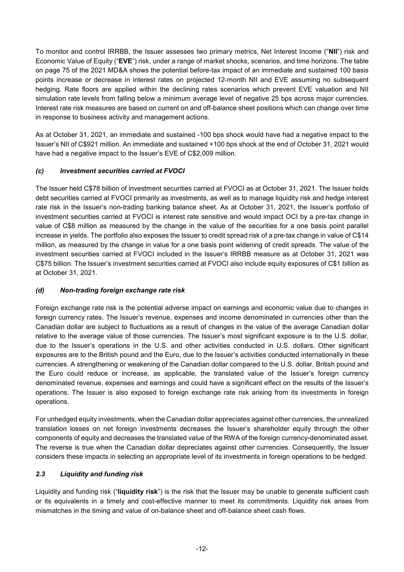To monitor and control IRRBB, the Issuer assesses two primary metrics, Net Interest Income ("**NII**") risk and Economic Value of Equity ("**EVE**") risk, under a range of market shocks, scenarios, and time horizons. The table on page 75 of the 2021 MD&A shows the potential before-tax impact of an immediate and sustained 100 basis points increase or decrease in interest rates on projected 12-month NII and EVE assuming no subsequent hedging. Rate floors are applied within the declining rates scenarios which prevent EVE valuation and NII simulation rate levels from falling below a minimum average level of negative 25 bps across major currencies. Interest rate risk measures are based on current on and off-balance sheet positions which can change over time in response to business activity and management actions.

As at October 31, 2021, an immediate and sustained -100 bps shock would have had a negative impact to the Issuer's NII of C\$921 million. An immediate and sustained +100 bps shock at the end of October 31, 2021 would have had a negative impact to the Issuer's EVE of C\$2,009 million.

### *(c) Investment securities carried at FVOCI*

The Issuer held C\$78 billion of investment securities carried at FVOCI as at October 31, 2021. The Issuer holds debt securities carried at FVOCI primarily as investments, as well as to manage liquidity risk and hedge interest rate risk in the Issuer's non-trading banking balance sheet. As at October 31, 2021, the Issuer's portfolio of investment securities carried at FVOCI is interest rate sensitive and would impact OCI by a pre-tax change in value of C\$8 million as measured by the change in the value of the securities for a one basis point parallel increase in yields. The portfolio also exposes the Issuer to credit spread risk of a pre-tax change in value of C\$14 million, as measured by the change in value for a one basis point widening of credit spreads. The value of the investment securities carried at FVOCI included in the Issuer's IRRBB measure as at October 31, 2021 was C\$75 billion. The Issuer's investment securities carried at FVOCI also include equity exposures of C\$1 billion as at October 31, 2021.

#### *(d) Non-trading foreign exchange rate risk*

Foreign exchange rate risk is the potential adverse impact on earnings and economic value due to changes in foreign currency rates. The Issuer's revenue, expenses and income denominated in currencies other than the Canadian dollar are subject to fluctuations as a result of changes in the value of the average Canadian dollar relative to the average value of those currencies. The Issuer's most significant exposure is to the U.S. dollar, due to the Issuer's operations in the U.S. and other activities conducted in U.S. dollars. Other significant exposures are to the British pound and the Euro, due to the Issuer's activities conducted internationally in these currencies. A strengthening or weakening of the Canadian dollar compared to the U.S. dollar, British pound and the Euro could reduce or increase, as applicable, the translated value of the Issuer's foreign currency denominated revenue, expenses and earnings and could have a significant effect on the results of the Issuer's operations. The Issuer is also exposed to foreign exchange rate risk arising from its investments in foreign operations.

For unhedged equity investments, when the Canadian dollar appreciates against other currencies, the unrealized translation losses on net foreign investments decreases the Issuer's shareholder equity through the other components of equity and decreases the translated value of the RWA of the foreign currency-denominated asset. The reverse is true when the Canadian dollar depreciates against other currencies. Consequently, the Issuer considers these impacts in selecting an appropriate level of its investments in foreign operations to be hedged.

### *2.3 Liquidity and funding risk*

Liquidity and funding risk ("**liquidity risk**") is the risk that the Issuer may be unable to generate sufficient cash or its equivalents in a timely and cost-effective manner to meet its commitments. Liquidity risk arises from mismatches in the timing and value of on-balance sheet and off-balance sheet cash flows.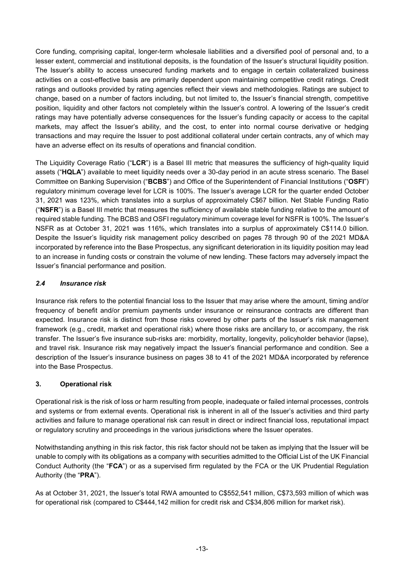Core funding, comprising capital, longer-term wholesale liabilities and a diversified pool of personal and, to a lesser extent, commercial and institutional deposits, is the foundation of the Issuer's structural liquidity position. The Issuer's ability to access unsecured funding markets and to engage in certain collateralized business activities on a cost-effective basis are primarily dependent upon maintaining competitive credit ratings. Credit ratings and outlooks provided by rating agencies reflect their views and methodologies. Ratings are subject to change, based on a number of factors including, but not limited to, the Issuer's financial strength, competitive position, liquidity and other factors not completely within the Issuer's control. A lowering of the Issuer's credit ratings may have potentially adverse consequences for the Issuer's funding capacity or access to the capital markets, may affect the Issuer's ability, and the cost, to enter into normal course derivative or hedging transactions and may require the Issuer to post additional collateral under certain contracts, any of which may have an adverse effect on its results of operations and financial condition.

The Liquidity Coverage Ratio ("**LCR**") is a Basel III metric that measures the sufficiency of high-quality liquid assets ("**HQLA**") available to meet liquidity needs over a 30-day period in an acute stress scenario. The Basel Committee on Banking Supervision ("**BCBS**") and Office of the Superintendent of Financial Institutions ("**OSFI**") regulatory minimum coverage level for LCR is 100%. The Issuer's average LCR for the quarter ended October 31, 2021 was 123%, which translates into a surplus of approximately C\$67 billion. Net Stable Funding Ratio ("**NSFR**") is a Basel III metric that measures the sufficiency of available stable funding relative to the amount of required stable funding. The BCBS and OSFI regulatory minimum coverage level for NSFR is 100%. The Issuer's NSFR as at October 31, 2021 was 116%, which translates into a surplus of approximately C\$114.0 billion. Despite the Issuer's liquidity risk management policy described on pages 78 through 90 of the 2021 MD&A incorporated by reference into the Base Prospectus, any significant deterioration in its liquidity position may lead to an increase in funding costs or constrain the volume of new lending. These factors may adversely impact the Issuer's financial performance and position.

## *2.4 Insurance risk*

Insurance risk refers to the potential financial loss to the Issuer that may arise where the amount, timing and/or frequency of benefit and/or premium payments under insurance or reinsurance contracts are different than expected. Insurance risk is distinct from those risks covered by other parts of the Issuer's risk management framework (e.g., credit, market and operational risk) where those risks are ancillary to, or accompany, the risk transfer. The Issuer's five insurance sub-risks are: morbidity, mortality, longevity, policyholder behavior (lapse), and travel risk. Insurance risk may negatively impact the Issuer's financial performance and condition. See a description of the Issuer's insurance business on pages 38 to 41 of the 2021 MD&A incorporated by reference into the Base Prospectus.

### **3. Operational risk**

Operational risk is the risk of loss or harm resulting from people, inadequate or failed internal processes, controls and systems or from external events. Operational risk is inherent in all of the Issuer's activities and third party activities and failure to manage operational risk can result in direct or indirect financial loss, reputational impact or regulatory scrutiny and proceedings in the various jurisdictions where the Issuer operates.

Notwithstanding anything in this risk factor, this risk factor should not be taken as implying that the Issuer will be unable to comply with its obligations as a company with securities admitted to the Official List of the UK Financial Conduct Authority (the "**FCA**") or as a supervised firm regulated by the FCA or the UK Prudential Regulation Authority (the "**PRA**").

As at October 31, 2021, the Issuer's total RWA amounted to C\$552,541 million, C\$73,593 million of which was for operational risk (compared to C\$444,142 million for credit risk and C\$34,806 million for market risk).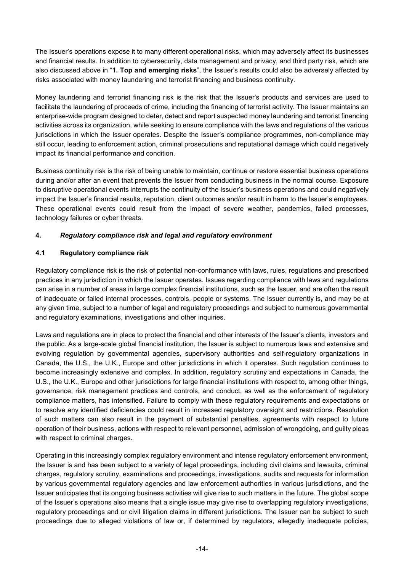The Issuer's operations expose it to many different operational risks, which may adversely affect its businesses and financial results. In addition to cybersecurity, data management and privacy, and third party risk, which are also discussed above in "**1. Top and emerging risks**", the Issuer's results could also be adversely affected by risks associated with money laundering and terrorist financing and business continuity.

Money laundering and terrorist financing risk is the risk that the Issuer's products and services are used to facilitate the laundering of proceeds of crime, including the financing of terrorist activity. The Issuer maintains an enterprise-wide program designed to deter, detect and report suspected money laundering and terrorist financing activities across its organization, while seeking to ensure compliance with the laws and regulations of the various jurisdictions in which the Issuer operates. Despite the Issuer's compliance programmes, non-compliance may still occur, leading to enforcement action, criminal prosecutions and reputational damage which could negatively impact its financial performance and condition.

Business continuity risk is the risk of being unable to maintain, continue or restore essential business operations during and/or after an event that prevents the Issuer from conducting business in the normal course. Exposure to disruptive operational events interrupts the continuity of the Issuer's business operations and could negatively impact the Issuer's financial results, reputation, client outcomes and/or result in harm to the Issuer's employees. These operational events could result from the impact of severe weather, pandemics, failed processes, technology failures or cyber threats.

### **4.** *Regulatory compliance risk and legal and regulatory environment*

### **4.1 Regulatory compliance risk**

Regulatory compliance risk is the risk of potential non-conformance with laws, rules, regulations and prescribed practices in any jurisdiction in which the Issuer operates. Issues regarding compliance with laws and regulations can arise in a number of areas in large complex financial institutions, such as the Issuer, and are often the result of inadequate or failed internal processes, controls, people or systems. The Issuer currently is, and may be at any given time, subject to a number of legal and regulatory proceedings and subject to numerous governmental and regulatory examinations, investigations and other inquiries.

Laws and regulations are in place to protect the financial and other interests of the Issuer's clients, investors and the public. As a large-scale global financial institution, the Issuer is subject to numerous laws and extensive and evolving regulation by governmental agencies, supervisory authorities and self-regulatory organizations in Canada, the U.S., the U.K., Europe and other jurisdictions in which it operates. Such regulation continues to become increasingly extensive and complex. In addition, regulatory scrutiny and expectations in Canada, the U.S., the U.K., Europe and other jurisdictions for large financial institutions with respect to, among other things, governance, risk management practices and controls, and conduct, as well as the enforcement of regulatory compliance matters, has intensified. Failure to comply with these regulatory requirements and expectations or to resolve any identified deficiencies could result in increased regulatory oversight and restrictions. Resolution of such matters can also result in the payment of substantial penalties, agreements with respect to future operation of their business, actions with respect to relevant personnel, admission of wrongdoing, and guilty pleas with respect to criminal charges.

Operating in this increasingly complex regulatory environment and intense regulatory enforcement environment, the Issuer is and has been subject to a variety of legal proceedings, including civil claims and lawsuits, criminal charges, regulatory scrutiny, examinations and proceedings, investigations, audits and requests for information by various governmental regulatory agencies and law enforcement authorities in various jurisdictions, and the Issuer anticipates that its ongoing business activities will give rise to such matters in the future. The global scope of the Issuer's operations also means that a single issue may give rise to overlapping regulatory investigations, regulatory proceedings and or civil litigation claims in different jurisdictions. The Issuer can be subject to such proceedings due to alleged violations of law or, if determined by regulators, allegedly inadequate policies,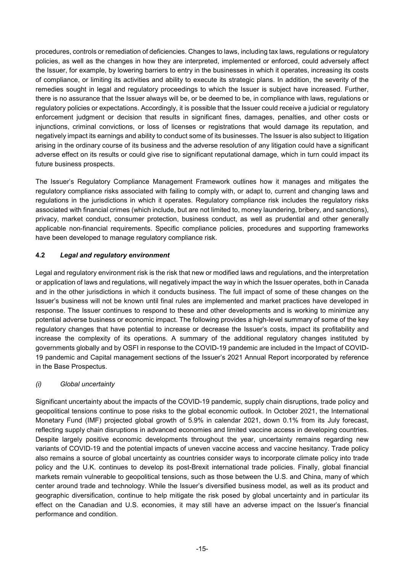procedures, controls or remediation of deficiencies. Changes to laws, including tax laws, regulations or regulatory policies, as well as the changes in how they are interpreted, implemented or enforced, could adversely affect the Issuer, for example, by lowering barriers to entry in the businesses in which it operates, increasing its costs of compliance, or limiting its activities and ability to execute its strategic plans. In addition, the severity of the remedies sought in legal and regulatory proceedings to which the Issuer is subject have increased. Further, there is no assurance that the Issuer always will be, or be deemed to be, in compliance with laws, regulations or regulatory policies or expectations. Accordingly, it is possible that the Issuer could receive a judicial or regulatory enforcement judgment or decision that results in significant fines, damages, penalties, and other costs or injunctions, criminal convictions, or loss of licenses or registrations that would damage its reputation, and negatively impact its earnings and ability to conduct some of its businesses. The Issuer is also subject to litigation arising in the ordinary course of its business and the adverse resolution of any litigation could have a significant adverse effect on its results or could give rise to significant reputational damage, which in turn could impact its future business prospects.

The Issuer's Regulatory Compliance Management Framework outlines how it manages and mitigates the regulatory compliance risks associated with failing to comply with, or adapt to, current and changing laws and regulations in the jurisdictions in which it operates. Regulatory compliance risk includes the regulatory risks associated with financial crimes (which include, but are not limited to, money laundering, bribery, and sanctions), privacy, market conduct, consumer protection, business conduct, as well as prudential and other generally applicable non-financial requirements. Specific compliance policies, procedures and supporting frameworks have been developed to manage regulatory compliance risk.

### **4.2** *Legal and regulatory environment*

Legal and regulatory environment risk is the risk that new or modified laws and regulations, and the interpretation or application of laws and regulations, will negatively impact the way in which the Issuer operates, both in Canada and in the other jurisdictions in which it conducts business. The full impact of some of these changes on the Issuer's business will not be known until final rules are implemented and market practices have developed in response. The Issuer continues to respond to these and other developments and is working to minimize any potential adverse business or economic impact. The following provides a high-level summary of some of the key regulatory changes that have potential to increase or decrease the Issuer's costs, impact its profitability and increase the complexity of its operations. A summary of the additional regulatory changes instituted by governments globally and by OSFI in response to the COVID-19 pandemic are included in the Impact of COVID-19 pandemic and Capital management sections of the Issuer's 2021 Annual Report incorporated by reference in the Base Prospectus.

### *(i) Global uncertainty*

Significant uncertainty about the impacts of the COVID-19 pandemic, supply chain disruptions, trade policy and geopolitical tensions continue to pose risks to the global economic outlook. In October 2021, the International Monetary Fund (IMF) projected global growth of 5.9% in calendar 2021, down 0.1% from its July forecast, reflecting supply chain disruptions in advanced economies and limited vaccine access in developing countries. Despite largely positive economic developments throughout the year, uncertainty remains regarding new variants of COVID-19 and the potential impacts of uneven vaccine access and vaccine hesitancy. Trade policy also remains a source of global uncertainty as countries consider ways to incorporate climate policy into trade policy and the U.K. continues to develop its post-Brexit international trade policies. Finally, global financial markets remain vulnerable to geopolitical tensions, such as those between the U.S. and China, many of which center around trade and technology. While the Issuer's diversified business model, as well as its product and geographic diversification, continue to help mitigate the risk posed by global uncertainty and in particular its effect on the Canadian and U.S. economies, it may still have an adverse impact on the Issuer's financial performance and condition.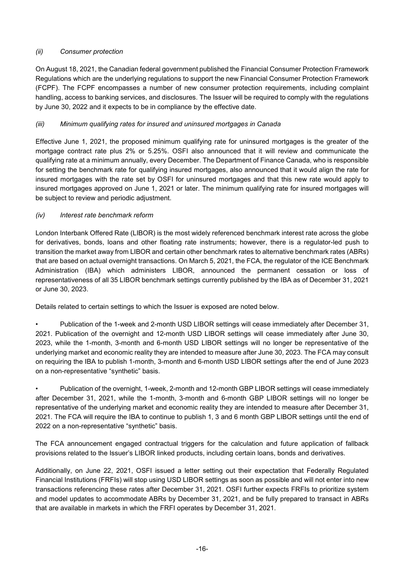### *(ii) Consumer protection*

On August 18, 2021, the Canadian federal government published the Financial Consumer Protection Framework Regulations which are the underlying regulations to support the new Financial Consumer Protection Framework (FCPF). The FCPF encompasses a number of new consumer protection requirements, including complaint handling, access to banking services, and disclosures. The Issuer will be required to comply with the regulations by June 30, 2022 and it expects to be in compliance by the effective date.

## *(iii) Minimum qualifying rates for insured and uninsured mortgages in Canada*

Effective June 1, 2021, the proposed minimum qualifying rate for uninsured mortgages is the greater of the mortgage contract rate plus 2% or 5.25%. OSFI also announced that it will review and communicate the qualifying rate at a minimum annually, every December. The Department of Finance Canada, who is responsible for setting the benchmark rate for qualifying insured mortgages, also announced that it would align the rate for insured mortgages with the rate set by OSFI for uninsured mortgages and that this new rate would apply to insured mortgages approved on June 1, 2021 or later. The minimum qualifying rate for insured mortgages will be subject to review and periodic adjustment.

### *(iv) Interest rate benchmark reform*

London Interbank Offered Rate (LIBOR) is the most widely referenced benchmark interest rate across the globe for derivatives, bonds, loans and other floating rate instruments; however, there is a regulator-led push to transition the market away from LIBOR and certain other benchmark rates to alternative benchmark rates (ABRs) that are based on actual overnight transactions. On March 5, 2021, the FCA, the regulator of the ICE Benchmark Administration (IBA) which administers LIBOR, announced the permanent cessation or loss of representativeness of all 35 LIBOR benchmark settings currently published by the IBA as of December 31, 2021 or June 30, 2023.

Details related to certain settings to which the Issuer is exposed are noted below.

• Publication of the 1-week and 2-month USD LIBOR settings will cease immediately after December 31, 2021. Publication of the overnight and 12-month USD LIBOR settings will cease immediately after June 30, 2023, while the 1-month, 3-month and 6-month USD LIBOR settings will no longer be representative of the underlying market and economic reality they are intended to measure after June 30, 2023. The FCA may consult on requiring the IBA to publish 1-month, 3-month and 6-month USD LIBOR settings after the end of June 2023 on a non-representative "synthetic" basis.

• Publication of the overnight, 1-week, 2-month and 12-month GBP LIBOR settings will cease immediately after December 31, 2021, while the 1-month, 3-month and 6-month GBP LIBOR settings will no longer be representative of the underlying market and economic reality they are intended to measure after December 31, 2021. The FCA will require the IBA to continue to publish 1, 3 and 6 month GBP LIBOR settings until the end of 2022 on a non-representative "synthetic" basis.

The FCA announcement engaged contractual triggers for the calculation and future application of fallback provisions related to the Issuer's LIBOR linked products, including certain loans, bonds and derivatives.

Additionally, on June 22, 2021, OSFI issued a letter setting out their expectation that Federally Regulated Financial Institutions (FRFIs) will stop using USD LIBOR settings as soon as possible and will not enter into new transactions referencing these rates after December 31, 2021. OSFI further expects FRFIs to prioritize system and model updates to accommodate ABRs by December 31, 2021, and be fully prepared to transact in ABRs that are available in markets in which the FRFI operates by December 31, 2021.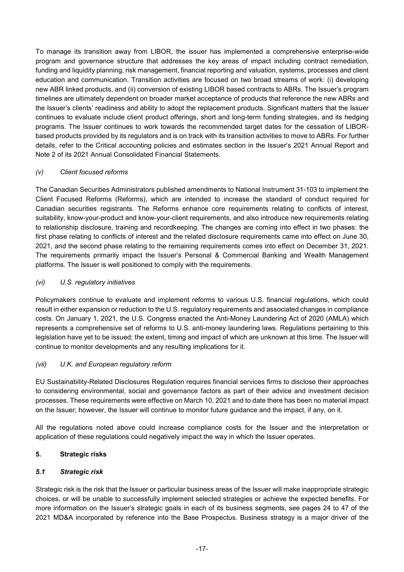To manage its transition away from LIBOR, the issuer has implemented a comprehensive enterprise-wide program and governance structure that addresses the key areas of impact including contract remediation, funding and liquidity planning, risk management, financial reporting and valuation, systems, processes and client education and communication. Transition activities are focused on two broad streams of work: (i) developing new ABR linked products, and (ii) conversion of existing LIBOR based contracts to ABRs. The Issuer's program timelines are ultimately dependent on broader market acceptance of products that reference the new ABRs and the Issuer's clients' readiness and ability to adopt the replacement products. Significant matters that the Issuer continues to evaluate include client product offerings, short and long-term funding strategies, and its hedging programs. The Issuer continues to work towards the recommended target dates for the cessation of LIBORbased products provided by its regulators and is on track with its transition activities to move to ABRs. For further details, refer to the Critical accounting policies and estimates section in the Issuer's 2021 Annual Report and Note 2 of its 2021 Annual Consolidated Financial Statements.

#### *(v) Client focused reforms*

The Canadian Securities Administrators published amendments to National Instrument 31-103 to implement the Client Focused Reforms (Reforms), which are intended to increase the standard of conduct required for Canadian securities registrants. The Reforms enhance core requirements relating to conflicts of interest, suitability, know-your-product and know-your-client requirements, and also introduce new requirements relating to relationship disclosure, training and recordkeeping. The changes are coming into effect in two phases: the first phase relating to conflicts of interest and the related disclosure requirements came into effect on June 30, 2021, and the second phase relating to the remaining requirements comes into effect on December 31, 2021. The requirements primarily impact the Issuer's Personal & Commercial Banking and Wealth Management platforms. The Issuer is well positioned to comply with the requirements.

### *(vi) U.S. regulatory initiatives*

Policymakers continue to evaluate and implement reforms to various U.S. financial regulations, which could result in either expansion or reduction to the U.S. regulatory requirements and associated changes in compliance costs. On January 1, 2021, the U.S. Congress enacted the Anti-Money Laundering Act of 2020 (AMLA) which represents a comprehensive set of reforms to U.S. anti-money laundering laws. Regulations pertaining to this legislation have yet to be issued; the extent, timing and impact of which are unknown at this time. The Issuer will continue to monitor developments and any resulting implications for it.

### *(vii) U.K. and European regulatory reform*

EU Sustainability-Related Disclosures Regulation requires financial services firms to disclose their approaches to considering environmental, social and governance factors as part of their advice and investment decision processes. These requirements were effective on March 10, 2021 and to date there has been no material impact on the Issuer; however, the Issuer will continue to monitor future guidance and the impact, if any, on it.

All the regulations noted above could increase compliance costs for the Issuer and the interpretation or application of these regulations could negatively impact the way in which the Issuer operates.

### **5. Strategic risks**

#### *5.1 Strategic risk*

Strategic risk is the risk that the Issuer or particular business areas of the Issuer will make inappropriate strategic choices, or will be unable to successfully implement selected strategies or achieve the expected benefits. For more information on the Issuer's strategic goals in each of its business segments, see pages 24 to 47 of the 2021 MD&A incorporated by reference into the Base Prospectus. Business strategy is a major driver of the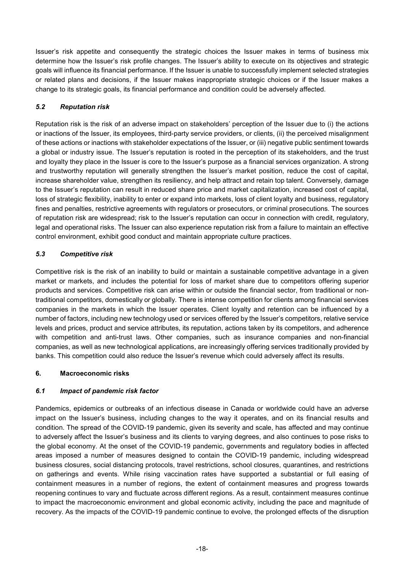Issuer's risk appetite and consequently the strategic choices the Issuer makes in terms of business mix determine how the Issuer's risk profile changes. The Issuer's ability to execute on its objectives and strategic goals will influence its financial performance. If the Issuer is unable to successfully implement selected strategies or related plans and decisions, if the Issuer makes inappropriate strategic choices or if the Issuer makes a change to its strategic goals, its financial performance and condition could be adversely affected.

## *5.2 Reputation risk*

Reputation risk is the risk of an adverse impact on stakeholders' perception of the Issuer due to (i) the actions or inactions of the Issuer, its employees, third-party service providers, or clients, (ii) the perceived misalignment of these actions or inactions with stakeholder expectations of the Issuer, or (iii) negative public sentiment towards a global or industry issue. The Issuer's reputation is rooted in the perception of its stakeholders, and the trust and loyalty they place in the Issuer is core to the Issuer's purpose as a financial services organization. A strong and trustworthy reputation will generally strengthen the Issuer's market position, reduce the cost of capital, increase shareholder value, strengthen its resiliency, and help attract and retain top talent. Conversely, damage to the Issuer's reputation can result in reduced share price and market capitalization, increased cost of capital, loss of strategic flexibility, inability to enter or expand into markets, loss of client loyalty and business, regulatory fines and penalties, restrictive agreements with regulators or prosecutors, or criminal prosecutions. The sources of reputation risk are widespread; risk to the Issuer's reputation can occur in connection with credit, regulatory, legal and operational risks. The Issuer can also experience reputation risk from a failure to maintain an effective control environment, exhibit good conduct and maintain appropriate culture practices.

### *5.3 Competitive risk*

Competitive risk is the risk of an inability to build or maintain a sustainable competitive advantage in a given market or markets, and includes the potential for loss of market share due to competitors offering superior products and services. Competitive risk can arise within or outside the financial sector, from traditional or nontraditional competitors, domestically or globally. There is intense competition for clients among financial services companies in the markets in which the Issuer operates. Client loyalty and retention can be influenced by a number of factors, including new technology used or services offered by the Issuer's competitors, relative service levels and prices, product and service attributes, its reputation, actions taken by its competitors, and adherence with competition and anti-trust laws. Other companies, such as insurance companies and non-financial companies, as well as new technological applications, are increasingly offering services traditionally provided by banks. This competition could also reduce the Issuer's revenue which could adversely affect its results.

### **6. Macroeconomic risks**

### *6.1 Impact of pandemic risk factor*

Pandemics, epidemics or outbreaks of an infectious disease in Canada or worldwide could have an adverse impact on the Issuer's business, including changes to the way it operates, and on its financial results and condition. The spread of the COVID-19 pandemic, given its severity and scale, has affected and may continue to adversely affect the Issuer's business and its clients to varying degrees, and also continues to pose risks to the global economy. At the onset of the COVID-19 pandemic, governments and regulatory bodies in affected areas imposed a number of measures designed to contain the COVID-19 pandemic, including widespread business closures, social distancing protocols, travel restrictions, school closures, quarantines, and restrictions on gatherings and events. While rising vaccination rates have supported a substantial or full easing of containment measures in a number of regions, the extent of containment measures and progress towards reopening continues to vary and fluctuate across different regions. As a result, containment measures continue to impact the macroeconomic environment and global economic activity, including the pace and magnitude of recovery. As the impacts of the COVID-19 pandemic continue to evolve, the prolonged effects of the disruption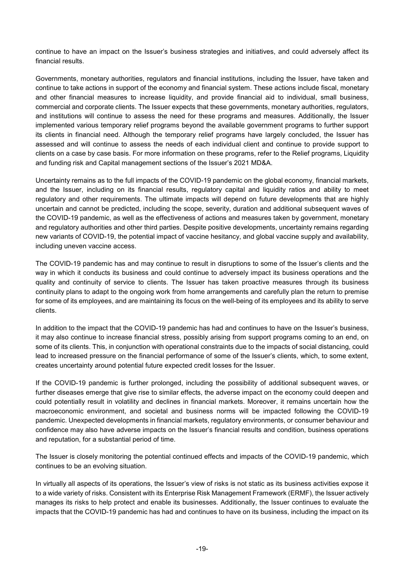continue to have an impact on the Issuer's business strategies and initiatives, and could adversely affect its financial results.

Governments, monetary authorities, regulators and financial institutions, including the Issuer, have taken and continue to take actions in support of the economy and financial system. These actions include fiscal, monetary and other financial measures to increase liquidity, and provide financial aid to individual, small business, commercial and corporate clients. The Issuer expects that these governments, monetary authorities, regulators, and institutions will continue to assess the need for these programs and measures. Additionally, the Issuer implemented various temporary relief programs beyond the available government programs to further support its clients in financial need. Although the temporary relief programs have largely concluded, the Issuer has assessed and will continue to assess the needs of each individual client and continue to provide support to clients on a case by case basis. For more information on these programs, refer to the Relief programs, Liquidity and funding risk and Capital management sections of the Issuer's 2021 MD&A.

Uncertainty remains as to the full impacts of the COVID-19 pandemic on the global economy, financial markets, and the Issuer, including on its financial results, regulatory capital and liquidity ratios and ability to meet regulatory and other requirements. The ultimate impacts will depend on future developments that are highly uncertain and cannot be predicted, including the scope, severity, duration and additional subsequent waves of the COVID-19 pandemic, as well as the effectiveness of actions and measures taken by government, monetary and regulatory authorities and other third parties. Despite positive developments, uncertainty remains regarding new variants of COVID-19, the potential impact of vaccine hesitancy, and global vaccine supply and availability, including uneven vaccine access.

The COVID-19 pandemic has and may continue to result in disruptions to some of the Issuer's clients and the way in which it conducts its business and could continue to adversely impact its business operations and the quality and continuity of service to clients. The Issuer has taken proactive measures through its business continuity plans to adapt to the ongoing work from home arrangements and carefully plan the return to premise for some of its employees, and are maintaining its focus on the well-being of its employees and its ability to serve clients.

In addition to the impact that the COVID-19 pandemic has had and continues to have on the Issuer's business, it may also continue to increase financial stress, possibly arising from support programs coming to an end, on some of its clients. This, in conjunction with operational constraints due to the impacts of social distancing, could lead to increased pressure on the financial performance of some of the Issuer's clients, which, to some extent, creates uncertainty around potential future expected credit losses for the Issuer.

If the COVID-19 pandemic is further prolonged, including the possibility of additional subsequent waves, or further diseases emerge that give rise to similar effects, the adverse impact on the economy could deepen and could potentially result in volatility and declines in financial markets. Moreover, it remains uncertain how the macroeconomic environment, and societal and business norms will be impacted following the COVID-19 pandemic. Unexpected developments in financial markets, regulatory environments, or consumer behaviour and confidence may also have adverse impacts on the Issuer's financial results and condition, business operations and reputation, for a substantial period of time.

The Issuer is closely monitoring the potential continued effects and impacts of the COVID-19 pandemic, which continues to be an evolving situation.

In virtually all aspects of its operations, the Issuer's view of risks is not static as its business activities expose it to a wide variety of risks. Consistent with its Enterprise Risk Management Framework (ERMF), the Issuer actively manages its risks to help protect and enable its businesses. Additionally, the Issuer continues to evaluate the impacts that the COVID-19 pandemic has had and continues to have on its business, including the impact on its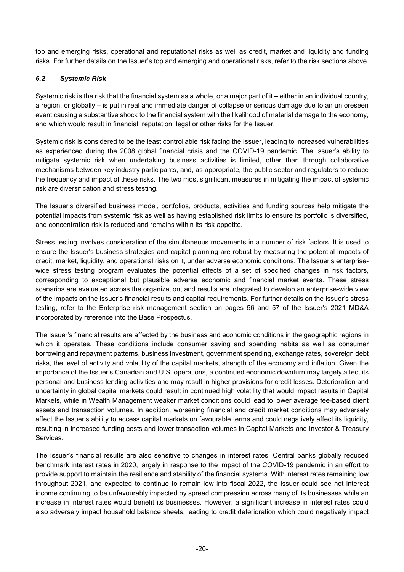top and emerging risks, operational and reputational risks as well as credit, market and liquidity and funding risks. For further details on the Issuer's top and emerging and operational risks, refer to the risk sections above.

#### *6.2 Systemic Risk*

Systemic risk is the risk that the financial system as a whole, or a major part of it – either in an individual country, a region, or globally – is put in real and immediate danger of collapse or serious damage due to an unforeseen event causing a substantive shock to the financial system with the likelihood of material damage to the economy, and which would result in financial, reputation, legal or other risks for the Issuer.

Systemic risk is considered to be the least controllable risk facing the Issuer, leading to increased vulnerabilities as experienced during the 2008 global financial crisis and the COVID-19 pandemic. The Issuer's ability to mitigate systemic risk when undertaking business activities is limited, other than through collaborative mechanisms between key industry participants, and, as appropriate, the public sector and regulators to reduce the frequency and impact of these risks. The two most significant measures in mitigating the impact of systemic risk are diversification and stress testing.

The Issuer's diversified business model, portfolios, products, activities and funding sources help mitigate the potential impacts from systemic risk as well as having established risk limits to ensure its portfolio is diversified, and concentration risk is reduced and remains within its risk appetite.

Stress testing involves consideration of the simultaneous movements in a number of risk factors. It is used to ensure the Issuer's business strategies and capital planning are robust by measuring the potential impacts of credit, market, liquidity, and operational risks on it, under adverse economic conditions. The Issuer's enterprisewide stress testing program evaluates the potential effects of a set of specified changes in risk factors, corresponding to exceptional but plausible adverse economic and financial market events. These stress scenarios are evaluated across the organization, and results are integrated to develop an enterprise-wide view of the impacts on the Issuer's financial results and capital requirements. For further details on the Issuer's stress testing, refer to the Enterprise risk management section on pages 56 and 57 of the Issuer's 2021 MD&A incorporated by reference into the Base Prospectus.

The Issuer's financial results are affected by the business and economic conditions in the geographic regions in which it operates. These conditions include consumer saving and spending habits as well as consumer borrowing and repayment patterns, business investment, government spending, exchange rates, sovereign debt risks, the level of activity and volatility of the capital markets, strength of the economy and inflation. Given the importance of the Issuer's Canadian and U.S. operations, a continued economic downturn may largely affect its personal and business lending activities and may result in higher provisions for credit losses. Deterioration and uncertainty in global capital markets could result in continued high volatility that would impact results in Capital Markets, while in Wealth Management weaker market conditions could lead to lower average fee-based client assets and transaction volumes. In addition, worsening financial and credit market conditions may adversely affect the Issuer's ability to access capital markets on favourable terms and could negatively affect its liquidity, resulting in increased funding costs and lower transaction volumes in Capital Markets and Investor & Treasury Services.

The Issuer's financial results are also sensitive to changes in interest rates. Central banks globally reduced benchmark interest rates in 2020, largely in response to the impact of the COVID-19 pandemic in an effort to provide support to maintain the resilience and stability of the financial systems. With interest rates remaining low throughout 2021, and expected to continue to remain low into fiscal 2022, the Issuer could see net interest income continuing to be unfavourably impacted by spread compression across many of its businesses while an increase in interest rates would benefit its businesses. However, a significant increase in interest rates could also adversely impact household balance sheets, leading to credit deterioration which could negatively impact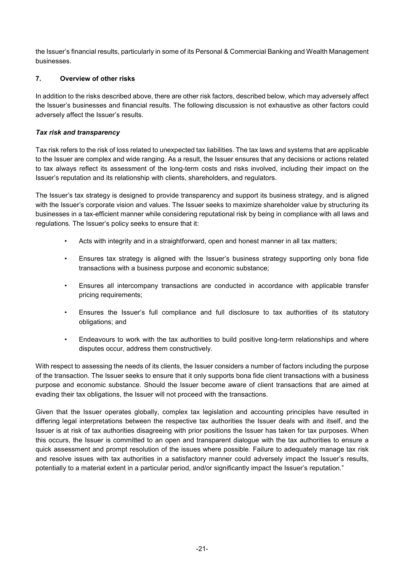the Issuer's financial results, particularly in some of its Personal & Commercial Banking and Wealth Management businesses.

## **7. Overview of other risks**

In addition to the risks described above, there are other risk factors, described below, which may adversely affect the Issuer's businesses and financial results. The following discussion is not exhaustive as other factors could adversely affect the Issuer's results.

## *Tax risk and transparency*

Tax risk refers to the risk of loss related to unexpected tax liabilities. The tax laws and systems that are applicable to the Issuer are complex and wide ranging. As a result, the Issuer ensures that any decisions or actions related to tax always reflect its assessment of the long-term costs and risks involved, including their impact on the Issuer's reputation and its relationship with clients, shareholders, and regulators.

The Issuer's tax strategy is designed to provide transparency and support its business strategy, and is aligned with the Issuer's corporate vision and values. The Issuer seeks to maximize shareholder value by structuring its businesses in a tax-efficient manner while considering reputational risk by being in compliance with all laws and regulations. The Issuer's policy seeks to ensure that it:

- Acts with integrity and in a straightforward, open and honest manner in all tax matters;
- Ensures tax strategy is aligned with the Issuer's business strategy supporting only bona fide transactions with a business purpose and economic substance;
- Ensures all intercompany transactions are conducted in accordance with applicable transfer pricing requirements;
- Ensures the Issuer's full compliance and full disclosure to tax authorities of its statutory obligations; and
- Endeavours to work with the tax authorities to build positive long-term relationships and where disputes occur, address them constructively.

With respect to assessing the needs of its clients, the Issuer considers a number of factors including the purpose of the transaction. The Issuer seeks to ensure that it only supports bona fide client transactions with a business purpose and economic substance. Should the Issuer become aware of client transactions that are aimed at evading their tax obligations, the Issuer will not proceed with the transactions.

Given that the Issuer operates globally, complex tax legislation and accounting principles have resulted in differing legal interpretations between the respective tax authorities the Issuer deals with and itself, and the Issuer is at risk of tax authorities disagreeing with prior positions the Issuer has taken for tax purposes. When this occurs, the Issuer is committed to an open and transparent dialogue with the tax authorities to ensure a quick assessment and prompt resolution of the issues where possible. Failure to adequately manage tax risk and resolve issues with tax authorities in a satisfactory manner could adversely impact the Issuer's results, potentially to a material extent in a particular period, and/or significantly impact the Issuer's reputation."